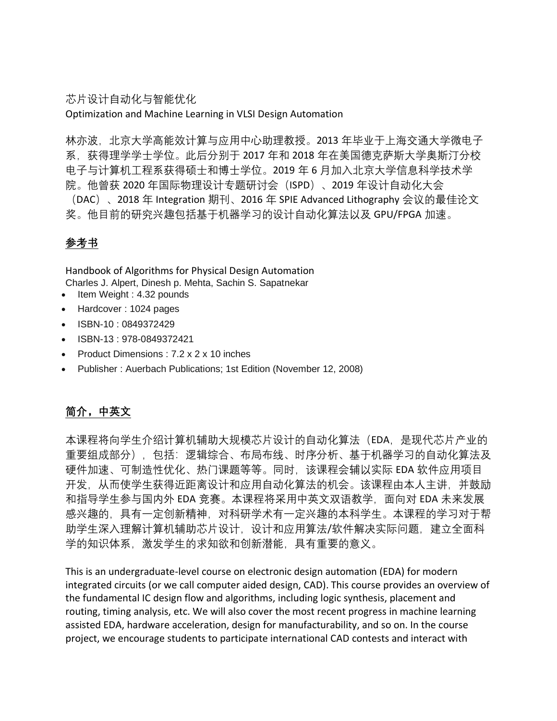芯片设计自动化与智能优化

Optimization and Machine Learning in VLSI Design Automation

林亦波,北京大学高能效计算与应用中心助理教授。2013 年毕业于上海交通大学微电子 系,获得理学学士学位。此后分别于 2017 年和 2018 年在美国德克萨斯大学奥斯汀分校 电子与计算机工程系获得硕士和博士学位。2019 年 6 月加入北京大学信息科学技术学 院。他曾获 2020 年国际物理设计专题研讨会(ISPD)、2019 年设计自动化大会 (DAC)、2018 年 Integration 期刊、2016 年 SPIE Advanced Lithography 会议的最佳论文 奖。他目前的研究兴趣包括基于机器学习的设计自动化算法以及 GPU/FPGA 加速。

# **参考书**

Handbook of Algorithms for Physical Design Automation Charles J. Alpert, Dinesh p. Mehta, Sachin S. Sapatnekar

- Item Weight : 4.32 pounds
- Hardcover : 1024 pages
- ISBN-10 : 0849372429
- ISBN-13 : 978-0849372421
- Product Dimensions : 7.2 x 2 x 10 inches
- Publisher : Auerbach Publications; 1st Edition (November 12, 2008)

# **简介,中英文**

本课程将向学生介绍计算机辅助大规模芯片设计的自动化算法(EDA,是现代芯片产业的 重要组成部分),包括:逻辑综合、布局布线、时序分析、基于机器学习的自动化算法及 硬件加速、可制造性优化、热门课题等等。同时,该课程会辅以实际 EDA 软件应用项目 开发,从而使学生获得近距离设计和应用自动化算法的机会。该课程由本人主讲,并鼓励 和指导学生参与国内外 EDA 竞赛。本课程将采用中英文双语教学,面向对 EDA 未来发展 感兴趣的,具有一定创新精神,对科研学术有一定兴趣的本科学生。本课程的学习对于帮 助学生深入理解计算机辅助芯片设计,设计和应用算法/软件解决实际问题,建立全面科 学的知识体系,激发学生的求知欲和创新潜能,具有重要的意义。

This is an undergraduate-level course on electronic design automation (EDA) for modern integrated circuits (or we call computer aided design, CAD). This course provides an overview of the fundamental IC design flow and algorithms, including logic synthesis, placement and routing, timing analysis, etc. We will also cover the most recent progress in machine learning assisted EDA, hardware acceleration, design for manufacturability, and so on. In the course project, we encourage students to participate international CAD contests and interact with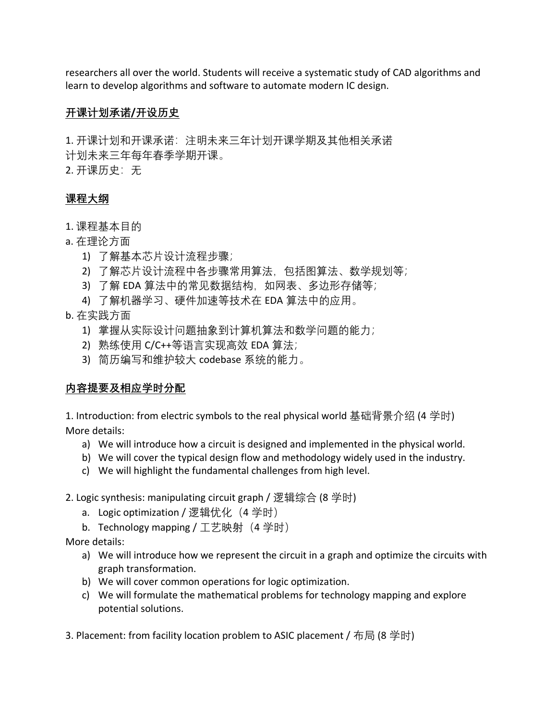researchers all over the world. Students will receive a systematic study of CAD algorithms and learn to develop algorithms and software to automate modern IC design.

#### **开课计划承诺/开设历史**

1. 开课计划和开课承诺: 注明未来三年计划开课学期及其他相关承诺 计划未来三年每年春季学期开课。

2. 开课历史:无

### **课程大纲**

- 1. 课程基本目的
- a. 在理论方面
	- 1) 了解基本芯片设计流程步骤;
	- 2) 了解芯片设计流程中各步骤常用算法,包括图算法、数学规划等;
	- 3) 了解 EDA 算法中的常见数据结构, 如网表、多边形存储等;
	- 4) 了解机器学习、硬件加速等技术在 EDA 算法中的应用。
- b. 在实践方面
	- 1) 掌握从实际设计问题抽象到计算机算法和数学问题的能力;
	- 2) 熟练使用 C/C++等语言实现高效 EDA 算法;
	- 3) 简历编写和维护较大 codebase 系统的能力。

# **内容提要及相应学时分配**

1. Introduction: from electric symbols to the real physical world 基础背景介绍 (4 学时) More details:

- a) We will introduce how a circuit is designed and implemented in the physical world.
- b) We will cover the typical design flow and methodology widely used in the industry.
- c) We will highlight the fundamental challenges from high level.

2. Logic synthesis: manipulating circuit graph / 逻辑综合 (8 学时)

- a. Logic optimization / 逻辑优化(4 学时)
- b. Technology mapping / 工艺映射  $(4 \ncong H)$

More details:

- a) We will introduce how we represent the circuit in a graph and optimize the circuits with graph transformation.
- b) We will cover common operations for logic optimization.
- c) We will formulate the mathematical problems for technology mapping and explore potential solutions.

3. Placement: from facility location problem to ASIC placement / 布局 (8 学时)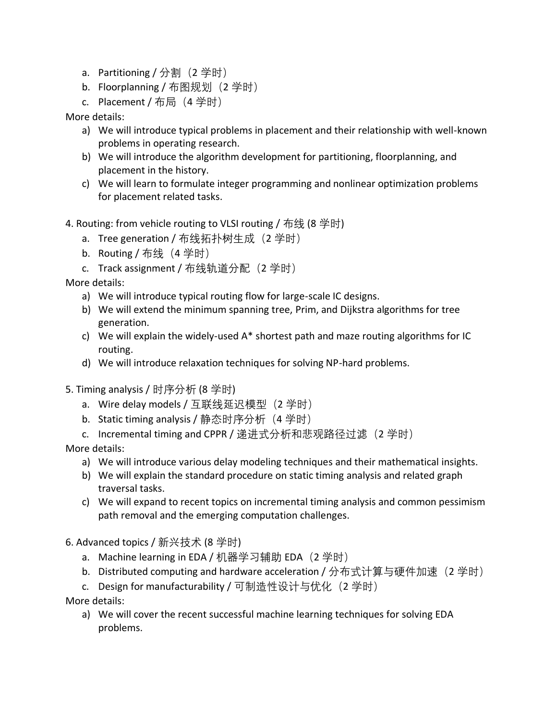- a. Partitioning / 分割 (2 学时)
- b. Floorplanning / 布图规划 (2 学时)
- c. Placement / 布局 $(4 \ncong H)$

#### More details:

- a) We will introduce typical problems in placement and their relationship with well-known problems in operating research.
- b) We will introduce the algorithm development for partitioning, floorplanning, and placement in the history.
- c) We will learn to formulate integer programming and nonlinear optimization problems for placement related tasks.

#### 4. Routing: from vehicle routing to VLSI routing / 布线 (8 学时)

- a. Tree generation / 布线拓扑树生成(2 学时)
- b. Routing / 布线  $(4 \frac{1}{2}$ 时)
- c. Track assignment / 布线轨道分配(2 学时)

More details:

- a) We will introduce typical routing flow for large-scale IC designs.
- b) We will extend the minimum spanning tree, Prim, and Dijkstra algorithms for tree generation.
- c) We will explain the widely-used A\* shortest path and maze routing algorithms for IC routing.
- d) We will introduce relaxation techniques for solving NP-hard problems.
- 5. Timing analysis / 时序分析 (8 学时)
	- a. Wire delay models / 互联线延迟模型(2 学时)
	- b. Static timing analysis / 静态时序分析(4 学时)
	- c. Incremental timing and CPPR / 递进式分析和悲观路径过滤(2 学时)

More details:

- a) We will introduce various delay modeling techniques and their mathematical insights.
- b) We will explain the standard procedure on static timing analysis and related graph traversal tasks.
- c) We will expand to recent topics on incremental timing analysis and common pessimism path removal and the emerging computation challenges.
- 6. Advanced topics / 新兴技术 (8 学时)
	- a. Machine learning in EDA / 机器学习辅助 EDA (2 学时)
	- b. Distributed computing and hardware acceleration / 分布式计算与硬件加速(2 学时)
	- c. Design for manufacturability / 可制造性设计与优化(2 学时)

More details:

a) We will cover the recent successful machine learning techniques for solving EDA problems.